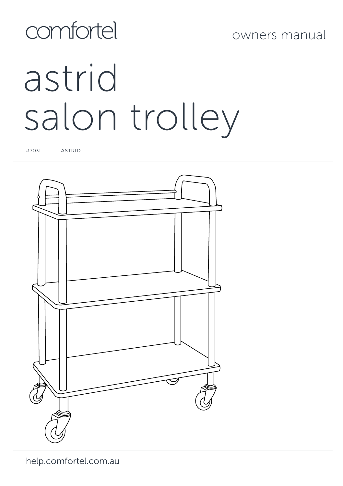# comfortel

# astrid salon trolley

#7031 ASTRID

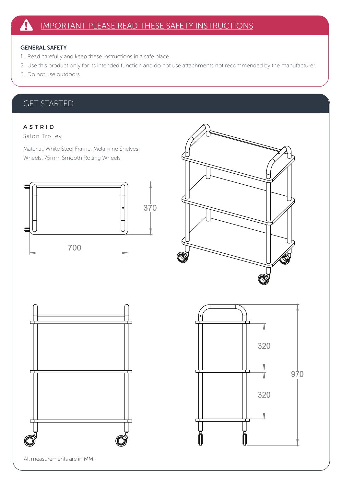### GENERAL SAFETY

- 1. Read carefully and keep these instructions in a safe place.
- 2. Use this product only for its intended function and do not use attachments not recommended by the manufacturer.
- 3. Do not use outdoors.

## GET STARTED

### A S T R I D

Salon Trolley

Material: White Steel Frame, Melamine Shelves Wheels: 75mm Smooth Rolling Wheels





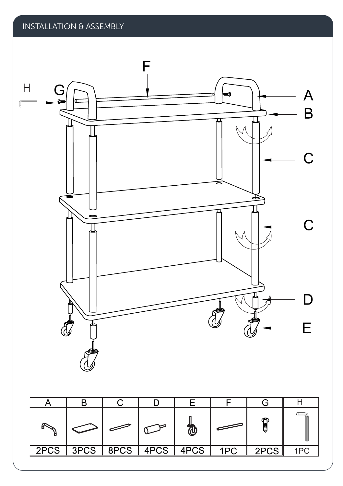